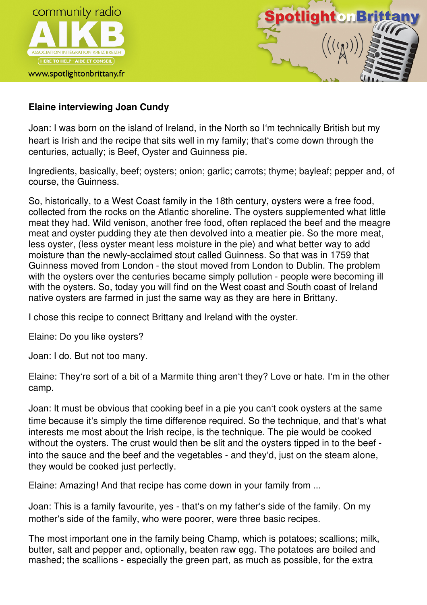



## **Elaine interviewing Joan Cundy**

Joan: I was born on the island of Ireland, in the North so I'm technically British but my heart is Irish and the recipe that sits well in my family; that's come down through the centuries, actually; is Beef, Oyster and Guinness pie.

Ingredients, basically, beef; oysters; onion; garlic; carrots; thyme; bayleaf; pepper and, of course, the Guinness.

So, historically, to a West Coast family in the 18th century, oysters were a free food, collected from the rocks on the Atlantic shoreline. The oysters supplemented what little meat they had. Wild venison, another free food, often replaced the beef and the meagre meat and oyster pudding they ate then devolved into a meatier pie. So the more meat, less oyster, (less oyster meant less moisture in the pie) and what better way to add moisture than the newly-acclaimed stout called Guinness. So that was in 1759 that Guinness moved from London - the stout moved from London to Dublin. The problem with the oysters over the centuries became simply pollution - people were becoming ill with the oysters. So, today you will find on the West coast and South coast of Ireland native oysters are farmed in just the same way as they are here in Brittany.

I chose this recipe to connect Brittany and Ireland with the oyster.

Elaine: Do you like oysters?

Joan: I do. But not too many.

Elaine: They're sort of a bit of a Marmite thing aren't they? Love or hate. I'm in the other camp.

Joan: It must be obvious that cooking beef in a pie you can't cook oysters at the same time because it's simply the time difference required. So the technique, and that's what interests me most about the Irish recipe, is the technique. The pie would be cooked without the oysters. The crust would then be slit and the oysters tipped in to the beef into the sauce and the beef and the vegetables - and they'd, just on the steam alone, they would be cooked just perfectly.

Elaine: Amazing! And that recipe has come down in your family from ...

Joan: This is a family favourite, yes - that's on my father's side of the family. On my mother's side of the family, who were poorer, were three basic recipes.

The most important one in the family being Champ, which is potatoes; scallions; milk, butter, salt and pepper and, optionally, beaten raw egg. The potatoes are boiled and mashed; the scallions - especially the green part, as much as possible, for the extra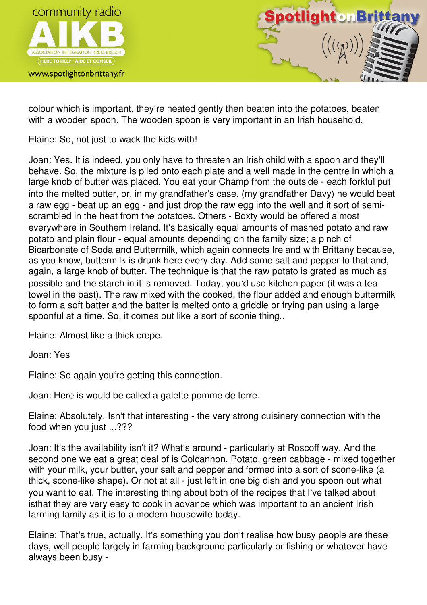

www.spotlightonbrittany.fr



colour which is important, they're heated gently then beaten into the potatoes, beaten with a wooden spoon. The wooden spoon is very important in an Irish household.

Elaine: So, not just to wack the kids with!

Joan: Yes. It is indeed, you only have to threaten an Irish child with a spoon and they'll behave. So, the mixture is piled onto each plate and a well made in the centre in which a large knob of butter was placed. You eat your Champ from the outside - each forkful put into the melted butter, or, in my grandfather's case, (my grandfather Davy) he would beat a raw egg - beat up an egg - and just drop the raw egg into the well and it sort of semiscrambled in the heat from the potatoes. Others - Boxty would be offered almost everywhere in Southern Ireland. It's basically equal amounts of mashed potato and raw potato and plain flour - equal amounts depending on the family size; a pinch of Bicarbonate of Soda and Buttermilk, which again connects Ireland with Brittany because, as you know, buttermilk is drunk here every day. Add some salt and pepper to that and, again, a large knob of butter. The technique is that the raw potato is grated as much as possible and the starch in it is removed. Today, you'd use kitchen paper (it was a tea towel in the past). The raw mixed with the cooked, the flour added and enough buttermilk to form a soft batter and the batter is melted onto a griddle or frying pan using a large spoonful at a time. So, it comes out like a sort of sconie thing..

Elaine: Almost like a thick crepe.

Joan: Yes

Elaine: So again you're getting this connection.

Joan: Here is would be called a galette pomme de terre.

Elaine: Absolutely. Isn't that interesting - the very strong cuisinery connection with the food when you just ...???

Joan: It's the availability isn't it? What's around - particularly at Roscoff way. And the second one we eat a great deal of is Colcannon. Potato, green cabbage - mixed together with your milk, your butter, your salt and pepper and formed into a sort of scone-like (a thick, scone-like shape). Or not at all - just left in one big dish and you spoon out what you want to eat. The interesting thing about both of the recipes that I've talked about isthat they are very easy to cook in advance which was important to an ancient Irish farming family as it is to a modern housewife today.

Elaine: That's true, actually. It's something you don't realise how busy people are these days, well people largely in farming background particularly or fishing or whatever have always been busy -